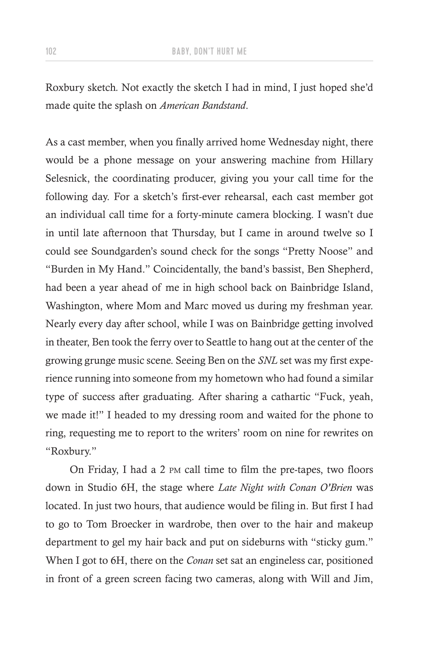Roxbury sketch*.* Not exactly the sketch I had in mind, I just hoped she'd made quite the splash on *American Bandstand*.

As a cast member, when you finally arrived home Wednesday night, there would be a phone message on your answering machine from Hillary Selesnick, the coordinating producer, giving you your call time for the following day. For a sketch's first-ever rehearsal, each cast member got an individual call time for a forty-minute camera blocking. I wasn't due in until late afternoon that Thursday, but I came in around twelve so I could see Soundgarden's sound check for the songs "Pretty Noose" and "Burden in My Hand." Coincidentally, the band's bassist, Ben Shepherd, had been a year ahead of me in high school back on Bainbridge Island, Washington, where Mom and Marc moved us during my freshman year. Nearly every day after school, while I was on Bainbridge getting involved in theater, Ben took the ferry over to Seattle to hang out at the center of the growing grunge music scene. Seeing Ben on the *SNL* set was my first experience running into someone from my hometown who had found a similar type of success after graduating. After sharing a cathartic "Fuck, yeah, we made it!" I headed to my dressing room and waited for the phone to ring, requesting me to report to the writers' room on nine for rewrites on "Roxbury."

On Friday, I had a 2 pm call time to film the pre-tapes, two floors down in Studio 6H, the stage where *Late Night with Conan O'Brien* was located. In just two hours, that audience would be filing in. But first I had to go to Tom Broecker in wardrobe, then over to the hair and makeup department to gel my hair back and put on sideburns with "sticky gum." When I got to 6H, there on the *Conan* set sat an engineless car, positioned in front of a green screen facing two cameras, along with Will and Jim,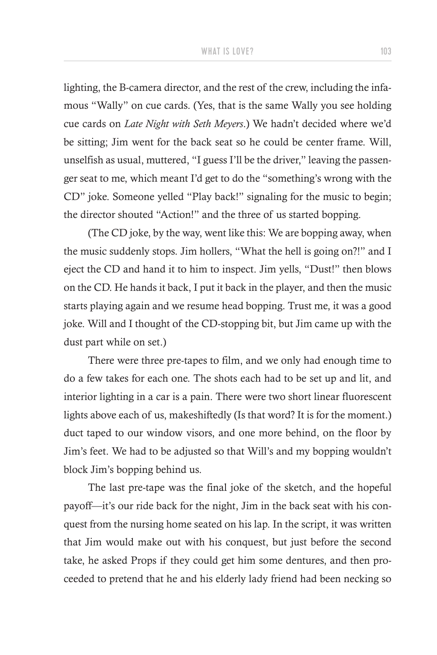lighting, the B-camera director, and the rest of the crew, including the infamous "Wally" on cue cards. (Yes, that is the same Wally you see holding cue cards on *Late Night with Seth Meyers*.) We hadn't decided where we'd be sitting; Jim went for the back seat so he could be center frame. Will, unselfish as usual, muttered, "I guess I'll be the driver," leaving the passenger seat to me, which meant I'd get to do the "something's wrong with the CD" joke. Someone yelled "Play back!" signaling for the music to begin; the director shouted "Action!" and the three of us started bopping.

(The CD joke, by the way, went like this: We are bopping away, when the music suddenly stops. Jim hollers, "What the hell is going on?!" and I eject the CD and hand it to him to inspect. Jim yells, "Dust!" then blows on the CD. He hands it back, I put it back in the player, and then the music starts playing again and we resume head bopping. Trust me, it was a good joke. Will and I thought of the CD-stopping bit, but Jim came up with the dust part while on set.)

There were three pre-tapes to film, and we only had enough time to do a few takes for each one. The shots each had to be set up and lit, and interior lighting in a car is a pain. There were two short linear fluorescent lights above each of us, makeshiftedly (Is that word? It is for the moment.) duct taped to our window visors, and one more behind, on the floor by Jim's feet. We had to be adjusted so that Will's and my bopping wouldn't block Jim's bopping behind us.

The last pre-tape was the final joke of the sketch, and the hopeful payoff—it's our ride back for the night, Jim in the back seat with his conquest from the nursing home seated on his lap. In the script, it was written that Jim would make out with his conquest, but just before the second take, he asked Props if they could get him some dentures, and then proceeded to pretend that he and his elderly lady friend had been necking so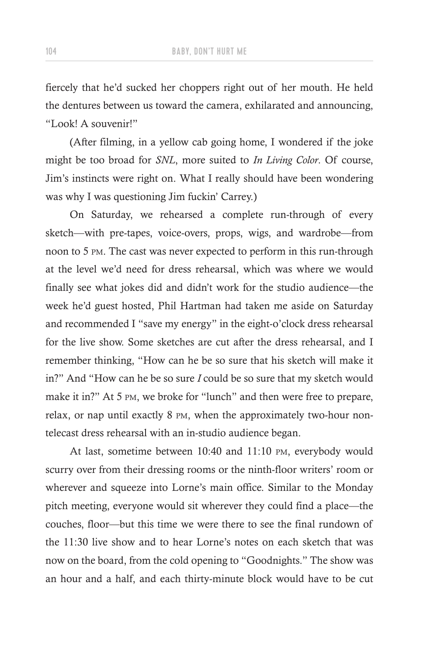fiercely that he'd sucked her choppers right out of her mouth. He held the dentures between us toward the camera, exhilarated and announcing, "Look! A souvenir!"

(After filming, in a yellow cab going home, I wondered if the joke might be too broad for *SNL*, more suited to *In Living Color*. Of course, Jim's instincts were right on. What I really should have been wondering was why I was questioning Jim fuckin' Carrey.)

On Saturday, we rehearsed a complete run-through of every sketch—with pre-tapes, voice-overs, props, wigs, and wardrobe—from noon to 5 pm. The cast was never expected to perform in this run-through at the level we'd need for dress rehearsal, which was where we would finally see what jokes did and didn't work for the studio audience—the week he'd guest hosted, Phil Hartman had taken me aside on Saturday and recommended I "save my energy" in the eight-o'clock dress rehearsal for the live show. Some sketches are cut after the dress rehearsal, and I remember thinking, "How can he be so sure that his sketch will make it in?" And "How can he be so sure *I* could be so sure that my sketch would make it in?" At 5 pm, we broke for "lunch" and then were free to prepare, relax, or nap until exactly 8 pm, when the approximately two-hour nontelecast dress rehearsal with an in-studio audience began.

At last, sometime between 10:40 and 11:10 pm, everybody would scurry over from their dressing rooms or the ninth-floor writers' room or wherever and squeeze into Lorne's main office. Similar to the Monday pitch meeting, everyone would sit wherever they could find a place—the couches, floor—but this time we were there to see the final rundown of the 11:30 live show and to hear Lorne's notes on each sketch that was now on the board, from the cold opening to "Goodnights." The show was an hour and a half, and each thirty-minute block would have to be cut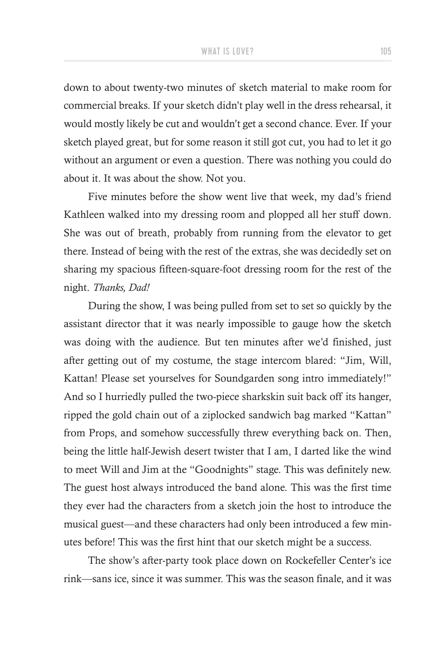## WHAT IS LOVE? 105

down to about twenty-two minutes of sketch material to make room for commercial breaks. If your sketch didn't play well in the dress rehearsal, it would mostly likely be cut and wouldn't get a second chance. Ever. If your sketch played great, but for some reason it still got cut, you had to let it go without an argument or even a question. There was nothing you could do about it. It was about the show. Not you.

Five minutes before the show went live that week, my dad's friend Kathleen walked into my dressing room and plopped all her stuff down. She was out of breath, probably from running from the elevator to get there. Instead of being with the rest of the extras, she was decidedly set on sharing my spacious fifteen-square-foot dressing room for the rest of the night. *Thanks, Dad!*

During the show, I was being pulled from set to set so quickly by the assistant director that it was nearly impossible to gauge how the sketch was doing with the audience. But ten minutes after we'd finished, just after getting out of my costume, the stage intercom blared: "Jim, Will, Kattan! Please set yourselves for Soundgarden song intro immediately!" And so I hurriedly pulled the two-piece sharkskin suit back off its hanger, ripped the gold chain out of a ziplocked sandwich bag marked "Kattan" from Props, and somehow successfully threw everything back on. Then, being the little half-Jewish desert twister that I am, I darted like the wind to meet Will and Jim at the "Goodnights" stage. This was definitely new. The guest host always introduced the band alone. This was the first time they ever had the characters from a sketch join the host to introduce the musical guest—and these characters had only been introduced a few minutes before! This was the first hint that our sketch might be a success.

The show's after-party took place down on Rockefeller Center's ice rink—sans ice, since it was summer. This was the season finale, and it was